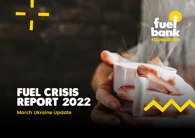

# FUEL CRISIS REPORT 2022

**March Ukraine Update**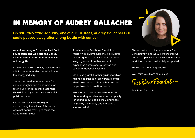### IN MEMORY OF AUDREY GALLACHER

**On Saturday 22nd January, one of our Trustees, Audrey Gallacher OBE, sadly passed away after a long battle with cancer.** 

**As well as being a Trustee of Fuel Bank Foundation, she was also the Deputy Chief Executive and Director of Policy at Energy UK.** 

In 2021, she received a very well-deserved OBE for her outstanding contribution to the energy industry.

She was a passionate advocate for consumer rights and a champion for driving up standards that customers should rightfully expect from essential public services.

She was a tireless campaigner, championing the voices of those who were not heard, striving to make the world a fairer place.

As a trustee of Fuel Bank Foundation, Audrey was always supportive, providing encouragement and invaluable strategic insight gleaned from her years of experience across energy, advice and customer advocacy sectors.

We are so grateful for her guidance which has helped Fuel Bank grow from a small idea into a national charity that has now helped over half a million people.

However, what we will remember most about Audrey was her enormous capacity for caring about people, including those helped by the charity and the people she worked with.



She was with us at the start of our Fuel Bank journey, and we will ensure that we carry her spirit with us as we continue the work that she so passionately supported.

Thanks for everything, Audrey.

We'll miss you. From all of us at

Fuel Bank Foundation

Fuel Bank Foundation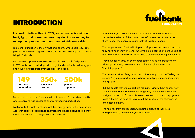### INTRODUCTION



**It's hard to believe that, in 2022, some people live without heat, light, and power because they don't have money to top up their prepayment meter. We call this Fuel Crisis.** 

Fuel Bank Foundation is the only national charity whose sole focus is to provide immediate, tangible, meaningful and long-lasting help to people living in fuel crisis.

Born from an npower initiative to support households in fuel poverty in 2015, we became an independent registered charity the following year and have now supported over half a million people.

149 **partners nationwide**

350+ **Fuel Bank**

**centres**

500k **people supported**

Every year the demand for our services increases. But our vision is a UK where everyone has access to energy for heating and eating.

We know that people rarely contact their energy supplier for help, so we work with selected food banks, charities, and advice agencies to identify those households that are genuinely in fuel crisis.

After 6 years, we now have over 149 partners (many of whom are located at the heart of their communities) across the UK. We rely on them to spot the people who are really struggling to cope.

The people who can't afford to top up their prepayment meter because they have no money. The ones who live in cold homes and are unable to cook a hot meal for their family or have a shower before a job interview.

They have fallen through every other safety net, so we provide them with approximately two weeks' worth of fuel to give them some "breathing space".

The current cost-of-living crisis means that many of us are "feeling the squeeze" right now and wondering how we will pay our ever-increasing energy bills.

But the people that we support are regularly living without energy now. They have already made all the savings they can in their household budgets and still don't always have money to top up their prepayment meters. So it is terrifying to think about the impact of the forthcoming price rises on them.

The findings from our research will paint a picture of their lives and give them a voice to tell you their stories.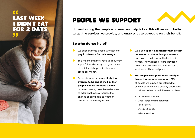# DIDN'T EAT FOR 2 DAYS

### LAST WEEK PEOPLE WE SUPPORT



**Understanding the people who need our help is key. This allows us to better target the services we provide, and enables us to advocate on their behalf.** 

#### So who do we help?

- We support those people who have to pay in advance for their energy.
- This means that they need to frequently 'top up' their electricity and gas meters at their local shop, typically seven times per month.
- Our customers are more likely than average to be one of the 2 million people who do not have a bank account. Having no or limited access to additional money reduces the chance of being able to weather any increase in energy costs.
- We also support households that are not connected to the mains gas network and have to bulk buy fuel to heat their homes. They will need to pre-pay for it before it is delivered, and this will cost at least several hundred pounds.
- The people we support have multiple issues that require resolution. 97% of people we support are referred to us by a partner who is already attempting to address other material issues. Such as:
	- Income Maximisation
	- Debt Triage and Management
	- Food Poverty
	- Energy Efficiency
	- Advice Services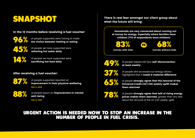## SNAPSHOT

#### In the 12 months before receiving a fuel voucher:

of people supported were having to make the choice between heating or eating

of people we have supported were rationing hot water daily

14% of people we have supported were sacrificing hot food daily

#### After receiving a fuel voucher:

87%

96%

45%

of people supported reported an improvement in their physical wellbeing **40% in 2018**

88% of people report an improvement in mental and the control of the series of the control of the control of the control of the control of the control of the control of the control of the control of the control of the cont well-being

**44% in 2018**

There is real fear amongst our client group about what the future will bring:

> Households are very concerned about running out of money for energy. Especially where families have children (71% of respondents have children)

83% 68%

VS

**homes with kids homes without kids**

49%

of people helped still face self-disconnection at least weekly



of people who accessed our energy advice highlighted that it made a material difference



of people strongly agree that the removal of the Universal Credit (UC) £20 weekly uplift makes them alarmed



of people strongly agree that talk of rising energy prices makes them alarmed, greater than any fear about the removal of the UC £20 weekly uplift

#### URGENT ACTION IS NEEDED NOW TO STOP AN INCREASE IN THE NUMBER OF PEOPLE IN FUEL CRISIS.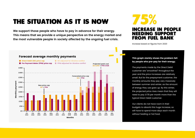### THE SITUATION AS IT IS NOW

**We support those people who have to pay in advance for their energy. This means that we provide a unique perspective on the energy market and the most vulnerable people in society affected by the ongoing fuel crisis.**



Increase based on figures from 2020



#### This graph starkly shows the problem felt by people who pre-pay for their energy.

The payments made by the Direct Debit customer are "smoothed" throughout the year and the price increases are relatively small. But for the prepayment customer, the monthly amounts they pay vary massively between summer and winter, as the amount of energy they use goes up. By this winter, the projected price rises mean that they will need to pay £178 per month more than the typical Direct Debit customer.

Our clients do not have room in their budgets to absorb this huge increase, so will have to spend more days each month without heating or hot food.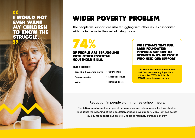### I WOULD NOT EVER WANT MY CHILDREN TO KNOW THE STRUGGLE.

### WIDER POVERTY PROBLEM

**The people we support are also struggling with other issues associated with the increase in the cost of living today:**

74%

#### OF PEOPLE ARE STRUGGLING WITH OTHER ESSENTIAL HOUSEHOLD BILLS.

These include:

- **Essential household items • Council tax**
- **Food/groceries**
- **Essential travel**

**• Water**

**• Housing costs**

WE ESTIMATE THAT FUEL BANK FOUNDATION PROVIDES SUPPORT TO BETWEEN 8-12% OF PEOPLE WHO NEED OUR SUPPORT.

**This would mean that between 116k and 170k people are going without hot food 24/7/365. And this is BEFORE costs increase further.** 

#### **Reduction in people claiming free school meals.**

The 24% annual reduction in people who receive free school meals for their children highlights the widening of the population of people we support. Many families do not qualify for support, but are still unable to routinely purchase energy.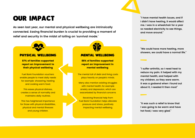### OUR IMPACT

**As seen last year, our mental and physical wellbeing are intrinsically connected. Easing financial burden is crucial to providing a moment of relief and security in the midst of toiling on 'survival mode.'**

#### PHYSICAL WELLBEING MENTAL WELLBEING

87% of families supported report an improvement to their physical wellbeing

Fuel Bank Foundation vouchers enable people to meet daily needs for example: showering, heating and cooking warm food.

This eases physical distress, creates a sense of normality and maintains daily routines.

This has heightened importance for those with physical disabilities, physical and mental illnesses and young children.

88% of families supported report an improvement in mental wellbeing

The mental toll of debt and living costs plays heavily on people's minds.

Many also mention existing struggles with mental health, for example anxiety and depression, which are exacerbated by financial concerns

Receiving financial help from Fuel Bank Foundation helps alleviate pressure and stress, positively impacting mental wellbeing.

**"I have mental health issues, and if I didn't have heating, it would affect me. I was in a wheelchair for a year so needed electricity to see things, and move around."**

**"We could have more heating, more showers, we could have a normal life."**

**"I suffer arthritis, so I need heat to reduce my pain. It helped with my mental health, and helped with my children, so they were warm. It was a godsend when I found out about it, I needed it then most"**

**"It was such a relief to know that I was going to be warm and have hot food, I was very glad."**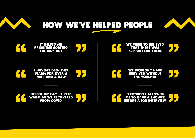

HOW WE'VE HELPED PEOPLE

WE WERE SO RELIEVED THAT THERE WAS SUPPORT OUT THERE IT HELPED ME PRIORITISE SORTING THE KIDS OUT WE WOULDN'T HAVE SURVIVED WITHOUT THE VOUCHER I HAVEN'T BEEN THIS WARM FOR OVER A YEAR AND A HALF HELPED MY FAMILY KEEP WARM AS WE RECOVERED FROM COVID ELECTRICITY ALLOWED ME TO HAVE A SHOWER BEFORE A JOB INTERVIEW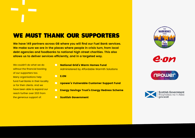### WE MUST THANK OUR SUPPORTERS

**We have 149 partners across GB where you will find our Fuel Bank services. We make sure we are in the places where people in crisis turn, from local debt agencies and foodbanks to national high street charities. This also allows us to deliver services efficiently, and in a targeted way.** 

We couldn't do what we do without the financial backing of our supporters too. Many organisations help fund Fuel Banks in their locality or for their clients. And we have been able to expand our reach further over 2021 from the generous support of:

- **C** National Grid's Warm Homes Fund Administered by Affordable Warmth Solutions
- **C** E.ON
- **O** npower's Vulnerable Customer Support Fund
- **C** Energy Savings Trust's Energy Redress Scheme
- Scottish Government



e.on



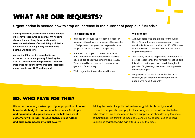### WHAT ARE OUR REQUESTS?

#### **Urgent action is needed now to stop an increase in the number of people in fuel crisis.**

**A comprehensive, Government-funded energy efficiency programme to improve UK housing stock is the only long-term, sustainable solution to the issue of affordability as it helps lift people out of fuel poverty permanently. But this will take time.** 

**Across the UK, over 6m households are expected to be in fuel poverty following the April 2022 changes to the price cap. Financial support is needed today to mitigate increased energy costs over 2022 and beyond.** 

#### This help must be:

- Big enough to cover the forecast increases in average bills so that the numbers of households in fuel poverty don't grow and to provide more support to those already in fuel poverty.
- Automatic or simple to access. Our clients tend to have a lower-than-average reading age and are already juggling multiple issues. There should be no hurdles to overcome to get hold of the money.
- Well-targeted at those who need it most.

#### We propose:

- **All households who are eligible for the Warm** Home Discount should receive support - and not simply those who receive it. In 2020/21, it was estimated that 2 million households who were eligible missed out.
- **•** This money must be ring-fenced for energy to provide reassurance that families will not go cold this winter, and beyond, and paid throughout periods of high energy consumption to provide continual support.
- Supplemented by additional crisis financial support, to get targeted extra help to those people who need it, urgently.

### SO, WHO PAYS FOR THIS?

**We know that energy takes up a higher proportion of poorer households' budgets than more affluent ones. So simply adding additional support costs to the bills paid by all customers will, in turn, increase energy prices further and push more people into fuel poverty.**

Adding the costs of supplier failure to energy bills is also not just and equitable: people who pre-pay for their energy have been less able to take advantage of low prices offered by new suppliers, so shouldn't pay the costs of their failure. We think that these costs should be paid for out of general taxation so that those who can afford to, pay the most.